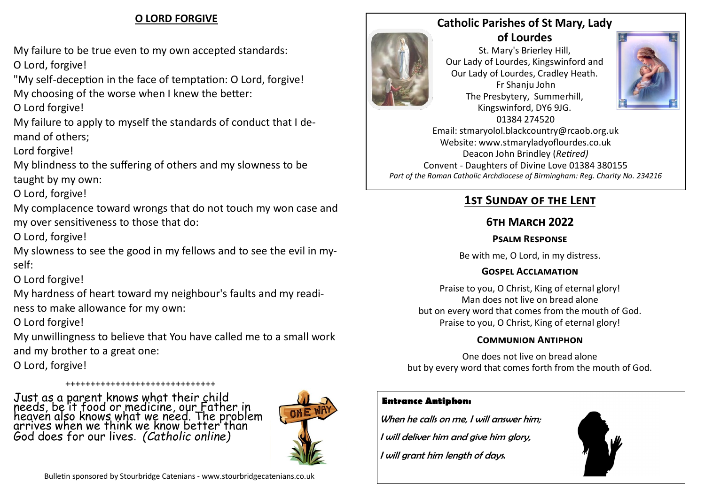### **O LORD FORGIVE**

My failure to be true even to my own accepted standards: O Lord, forgive!

"My self-deception in the face of temptation: O Lord, forgive! My choosing of the worse when I knew the better:

O Lord forgive!

My failure to apply to myself the standards of conduct that I demand of others;

Lord forgive!

My blindness to the suffering of others and my slowness to be taught by my own:

O Lord, forgive!

My complacence toward wrongs that do not touch my won case and my over sensitiveness to those that do:

O Lord, forgive!

My slowness to see the good in my fellows and to see the evil in myself:

## O Lord forgive!

My hardness of heart toward my neighbour's faults and my readiness to make allowance for my own:

O Lord forgive!

My unwillingness to believe that You have called me to a small work and my brother to a great one:

O Lord, forgive!

++++++++++++++++++++++++++++++ Just as a parent knows what their child needs, be it food or medicine, our Father in heaven also knows what we need. The problem arrives when we think we know better than God does for our lives. *(Catholic online)*





St. Mary's Brierley Hill, Our Lady of Lourdes, Kingswinford and Our Lady of Lourdes, Cradley Heath. Fr Shanju John The Presbytery, Summerhill, Kingswinford, DY6 9JG. 01384 274520



Email: stmaryolol.blackcountry@rcaob.org.uk Website: www.stmaryladyoflourdes.co.uk Deacon John Brindley (*Retired)* Convent - Daughters of Divine Love 01384 380155 *Part of the Roman Catholic Archdiocese of Birmingham: Reg. Charity No. 234216*

# **1st Sunday of the Lent**

## **6th March 2022**

#### **Psalm Response**

Be with me, O Lord, in my distress.

#### **Gospel Acclamation**

Praise to you, O Christ, King of eternal glory! Man does not live on bread alone but on every word that comes from the mouth of God. Praise to you, O Christ, King of eternal glory!

### **Communion Antiphon**

One does not live on bread alone but by every word that comes forth from the mouth of God.

### **Entrance Antiphon:**

When he calls on me, I will answer him:

I will deliver him and give him glory,

I will grant him length of days.